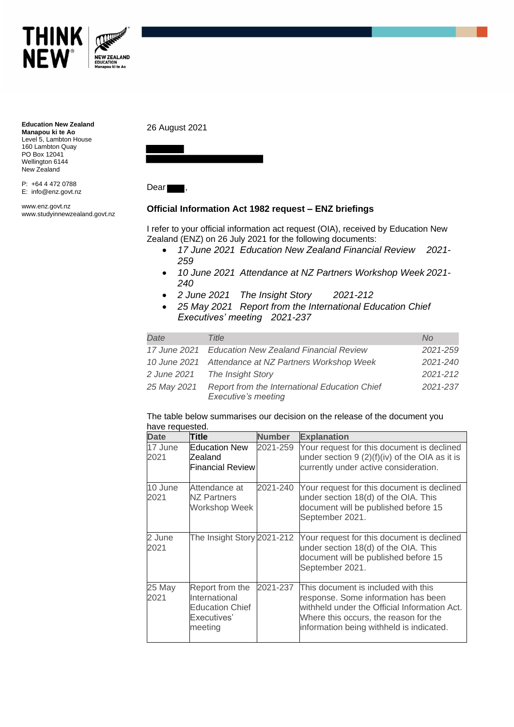

**Education New Zealand Manapou ki te Ao** Level 5, Lambton House 160 Lambton Quay PO Box 12041 Wellington 6144 New Zealand

P: +64 4 472 0788 E: info@enz.govt.nz

www.enz.govt.nz www.studyinnewzealand.govt.nz

## 26 August 2021



Dear

## **Official Information Act 1982 request – ENZ briefings**

I refer to your official information act request (OIA), received by Education New Zealand (ENZ) on 26 July 2021 for the following documents:

- *17 June 2021 Education New Zealand Financial Review 2021- 259*
- *10 June 2021 Attendance at NZ Partners Workshop Week 2021- 240*
- *2 June 2021 The Insight Story 2021-212*
- *25 May 2021 Report from the International Education Chief Executives' meeting 2021-237*

| Date                                                 | Title                                                                       | No.          |
|------------------------------------------------------|-----------------------------------------------------------------------------|--------------|
|                                                      | 17 June 2021 Education New Zealand Financial Review                         | 2021-259     |
| 10 June 2021 Attendance at NZ Partners Workshop Week |                                                                             | 2021-240     |
|                                                      | 2 June 2021 The Insight Story                                               | $2021 - 212$ |
| 25 May 2021                                          | Report from the International Education Chief<br><b>Executive's meeting</b> | 2021-237     |

## The table below summarises our decision on the release of the document you have requested.

| <b>Date</b>     | Title                                                                                | <b>Number</b> | <b>Explanation</b>                                                                                                                                                                                              |
|-----------------|--------------------------------------------------------------------------------------|---------------|-----------------------------------------------------------------------------------------------------------------------------------------------------------------------------------------------------------------|
| 17 June<br>2021 | <b>IEducation New</b><br>Zealand<br><b>Financial Review</b>                          | 2021-259      | Your request for this document is declined<br>under section $9(2)(f)(iv)$ of the OIA as it is<br>currently under active consideration.                                                                          |
| 10 June<br>2021 | Attendance at<br>NZ Partners<br>Workshop Week                                        | 2021-240      | Your request for this document is declined<br>under section 18(d) of the OIA. This<br>document will be published before 15<br>September 2021.                                                                   |
| 2 June<br>2021  | The Insight Story 2021-212                                                           |               | Your request for this document is declined<br>under section 18(d) of the OIA. This<br>document will be published before 15<br>September 2021.                                                                   |
| 25 May<br>2021  | Report from the<br>International<br><b>Education Chief</b><br>Executives'<br>meeting | 2021-237      | This document is included with this<br>response. Some information has been<br>withheld under the Official Information Act.<br>Where this occurs, the reason for the<br>information being withheld is indicated. |